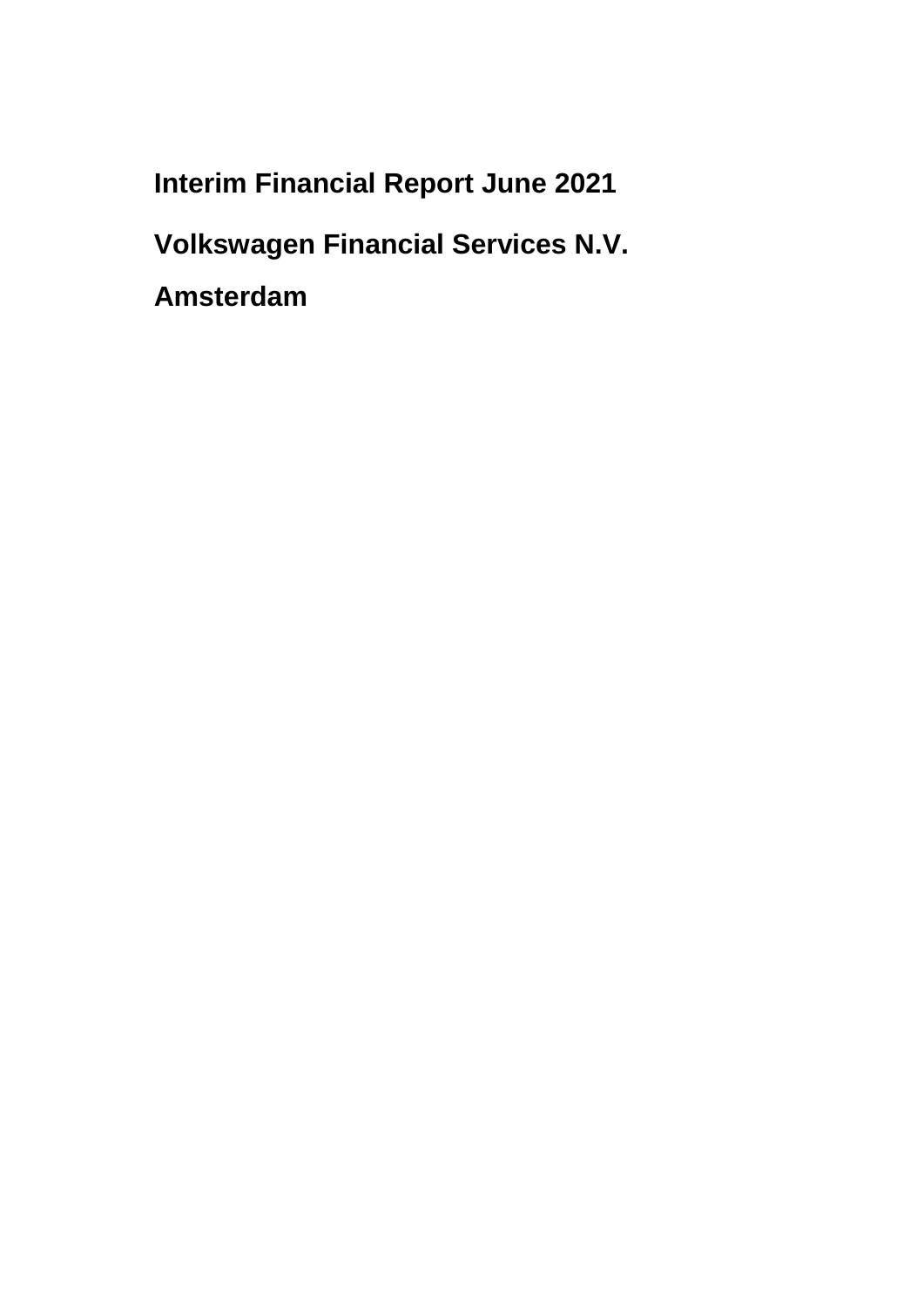**Interim Financial Report June 2021**

**Volkswagen Financial Services N.V.**

**Amsterdam**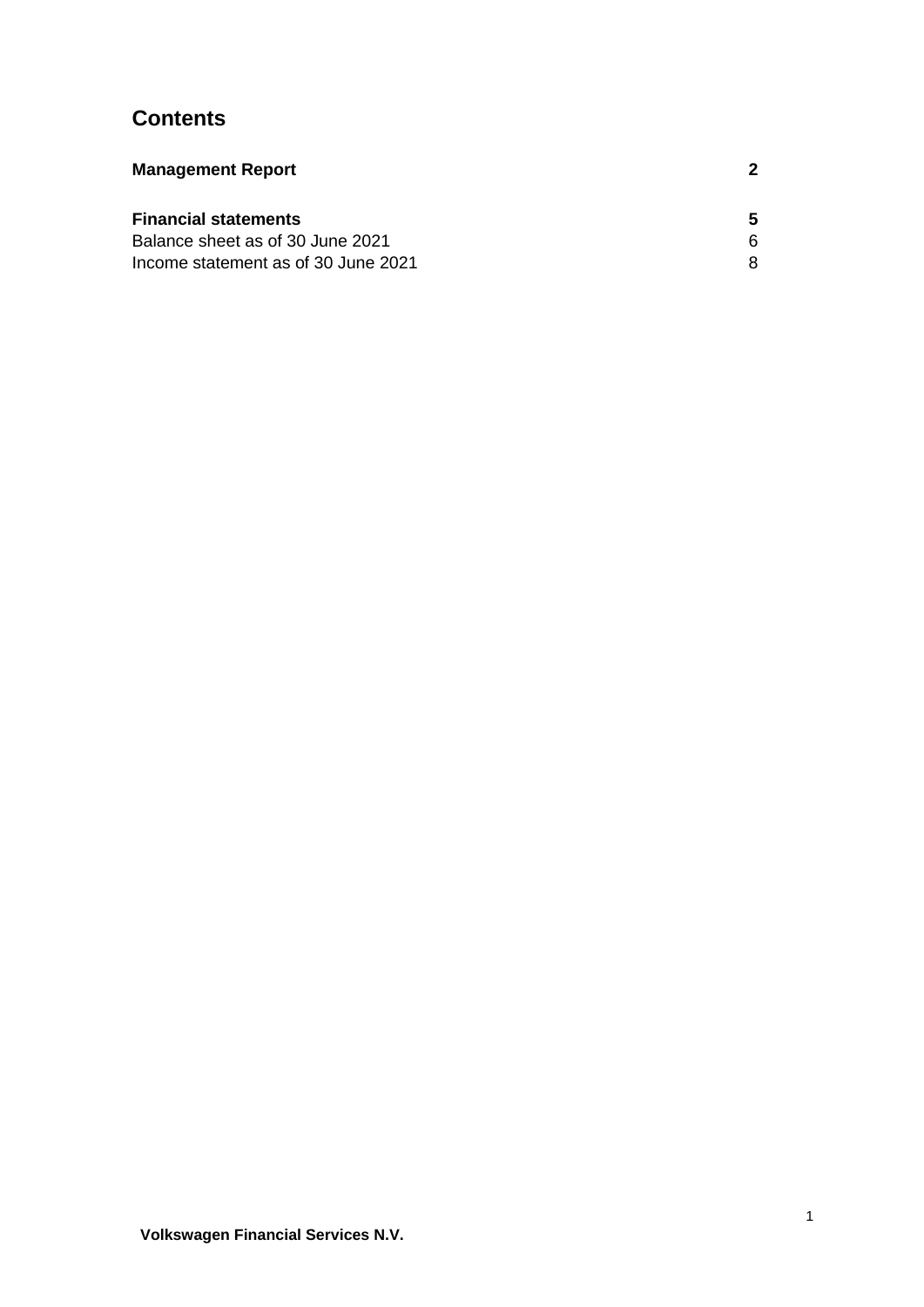# **Contents**

| <b>Management Report</b>            |  |
|-------------------------------------|--|
| <b>Financial statements</b>         |  |
| Balance sheet as of 30 June 2021    |  |
| Income statement as of 30 June 2021 |  |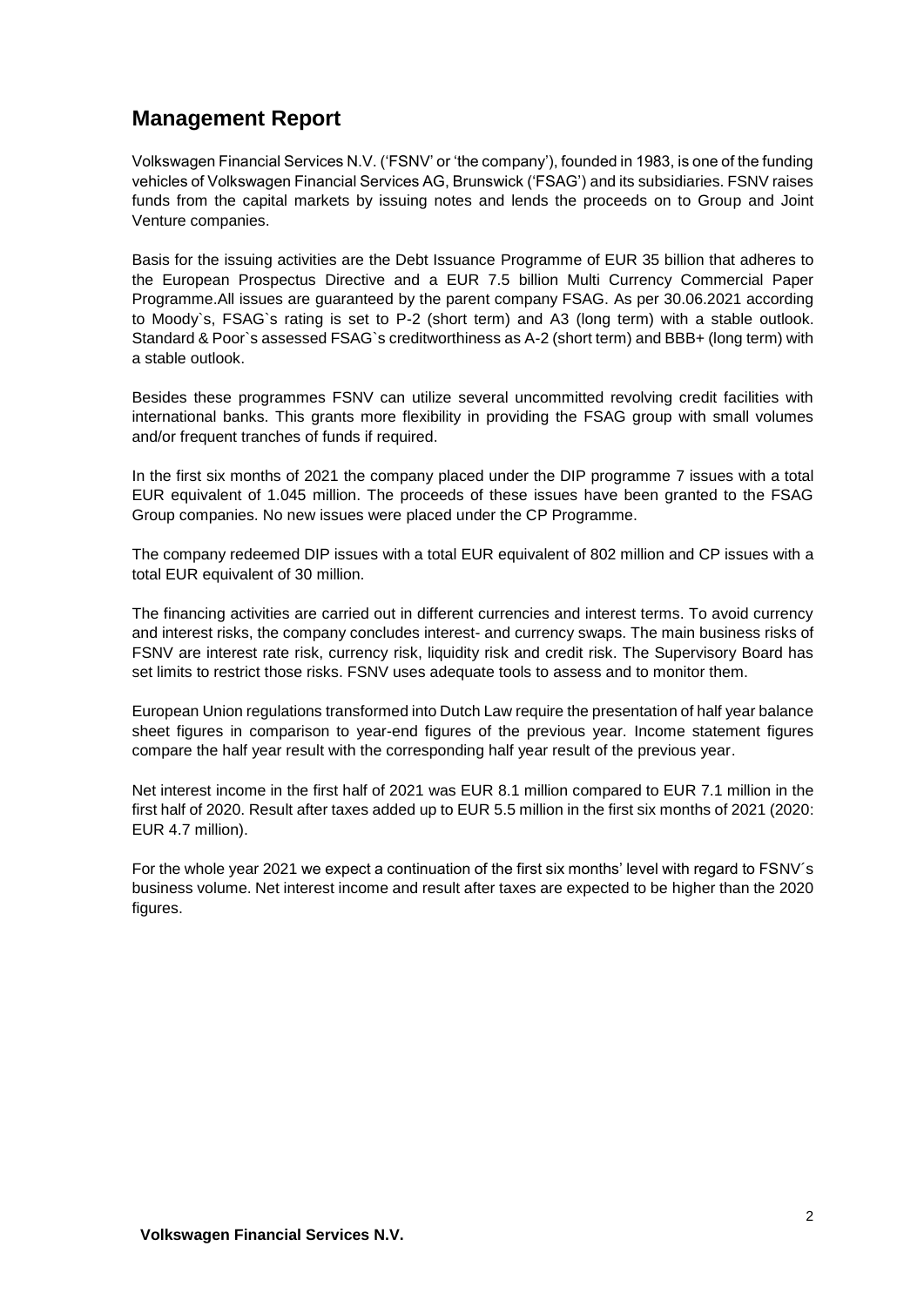## <span id="page-2-0"></span>**Management Report**

Volkswagen Financial Services N.V. ('FSNV' or 'the company'), founded in 1983, is one of the funding vehicles of Volkswagen Financial Services AG, Brunswick ('FSAG') and its subsidiaries. FSNV raises funds from the capital markets by issuing notes and lends the proceeds on to Group and Joint Venture companies.

Basis for the issuing activities are the Debt Issuance Programme of EUR 35 billion that adheres to the European Prospectus Directive and a EUR 7.5 billion Multi Currency Commercial Paper Programme.All issues are guaranteed by the parent company FSAG. As per 30.06.2021 according to Moody`s, FSAG`s rating is set to P-2 (short term) and A3 (long term) with a stable outlook. Standard & Poor`s assessed FSAG`s creditworthiness as A-2 (short term) and BBB+ (long term) with a stable outlook.

Besides these programmes FSNV can utilize several uncommitted revolving credit facilities with international banks. This grants more flexibility in providing the FSAG group with small volumes and/or frequent tranches of funds if required.

In the first six months of 2021 the company placed under the DIP programme 7 issues with a total EUR equivalent of 1.045 million. The proceeds of these issues have been granted to the FSAG Group companies. No new issues were placed under the CP Programme.

The company redeemed DIP issues with a total EUR equivalent of 802 million and CP issues with a total EUR equivalent of 30 million.

The financing activities are carried out in different currencies and interest terms. To avoid currency and interest risks, the company concludes interest- and currency swaps. The main business risks of FSNV are interest rate risk, currency risk, liquidity risk and credit risk. The Supervisory Board has set limits to restrict those risks. FSNV uses adequate tools to assess and to monitor them.

European Union regulations transformed into Dutch Law require the presentation of half year balance sheet figures in comparison to year-end figures of the previous year. Income statement figures compare the half year result with the corresponding half year result of the previous year.

Net interest income in the first half of 2021 was EUR 8.1 million compared to EUR 7.1 million in the first half of 2020. Result after taxes added up to EUR 5.5 million in the first six months of 2021 (2020: EUR 4.7 million).

For the whole year 2021 we expect a continuation of the first six months' level with regard to FSNV´s business volume. Net interest income and result after taxes are expected to be higher than the 2020 figures.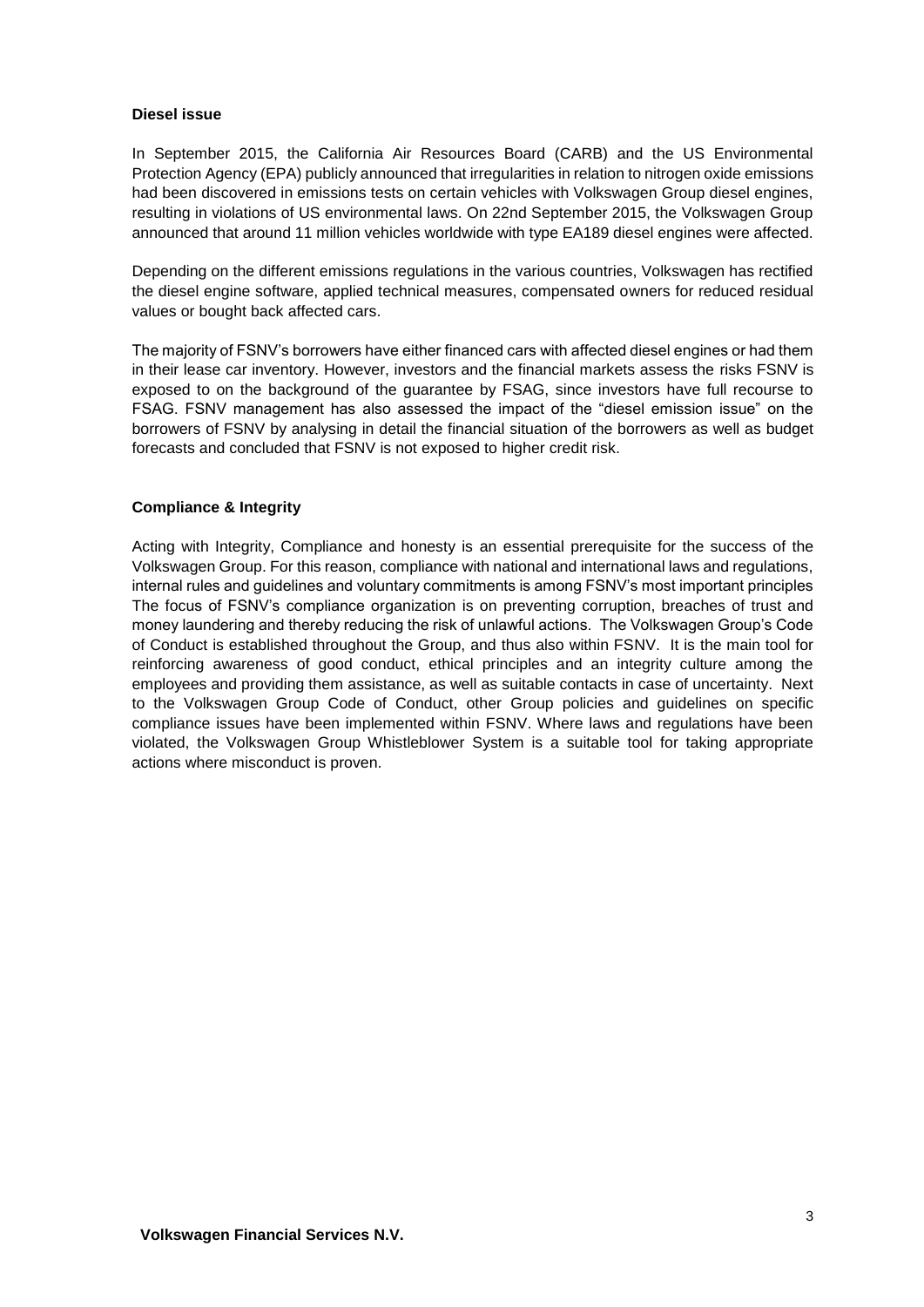#### **Diesel issue**

In September 2015, the California Air Resources Board (CARB) and the US Environmental Protection Agency (EPA) publicly announced that irregularities in relation to nitrogen oxide emissions had been discovered in emissions tests on certain vehicles with Volkswagen Group diesel engines, resulting in violations of US environmental laws. On 22nd September 2015, the Volkswagen Group announced that around 11 million vehicles worldwide with type EA189 diesel engines were affected.

Depending on the different emissions regulations in the various countries, Volkswagen has rectified the diesel engine software, applied technical measures, compensated owners for reduced residual values or bought back affected cars.

The majority of FSNV's borrowers have either financed cars with affected diesel engines or had them in their lease car inventory. However, investors and the financial markets assess the risks FSNV is exposed to on the background of the guarantee by FSAG, since investors have full recourse to FSAG. FSNV management has also assessed the impact of the "diesel emission issue" on the borrowers of FSNV by analysing in detail the financial situation of the borrowers as well as budget forecasts and concluded that FSNV is not exposed to higher credit risk.

#### **Compliance & Integrity**

Acting with Integrity, Compliance and honesty is an essential prerequisite for the success of the Volkswagen Group. For this reason, compliance with national and international laws and regulations, internal rules and guidelines and voluntary commitments is among FSNV's most important principles The focus of FSNV's compliance organization is on preventing corruption, breaches of trust and money laundering and thereby reducing the risk of unlawful actions. The Volkswagen Group's Code of Conduct is established throughout the Group, and thus also within FSNV. It is the main tool for reinforcing awareness of good conduct, ethical principles and an integrity culture among the employees and providing them assistance, as well as suitable contacts in case of uncertainty. Next to the Volkswagen Group Code of Conduct, other Group policies and guidelines on specific compliance issues have been implemented within FSNV. Where laws and regulations have been violated, the Volkswagen Group Whistleblower System is a suitable tool for taking appropriate actions where misconduct is proven.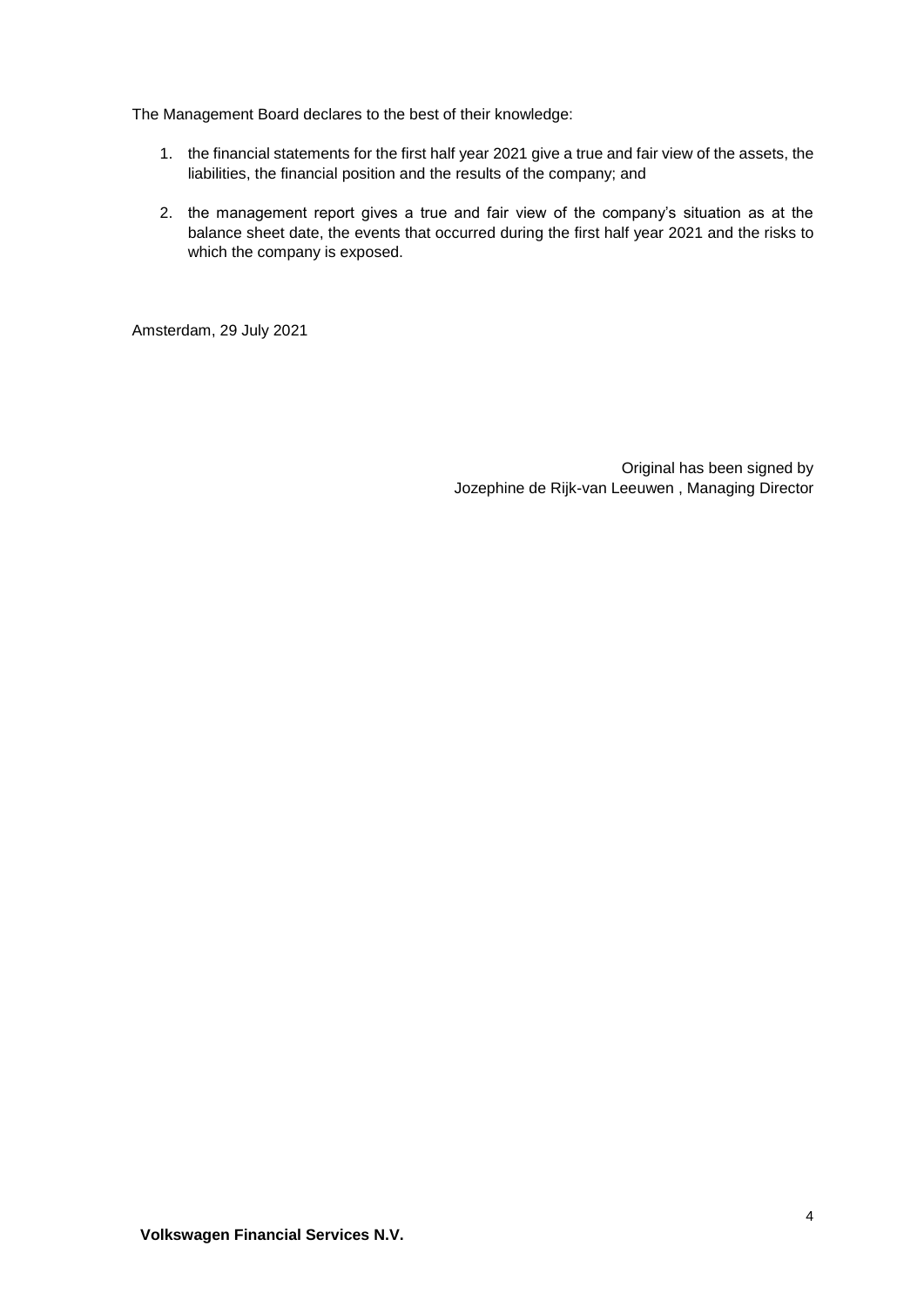The Management Board declares to the best of their knowledge:

- 1. the financial statements for the first half year 2021 give a true and fair view of the assets, the liabilities, the financial position and the results of the company; and
- 2. the management report gives a true and fair view of the company's situation as at the balance sheet date, the events that occurred during the first half year 2021 and the risks to which the company is exposed.

Amsterdam, 29 July 2021

Original has been signed by Jozephine de Rijk-van Leeuwen , Managing Director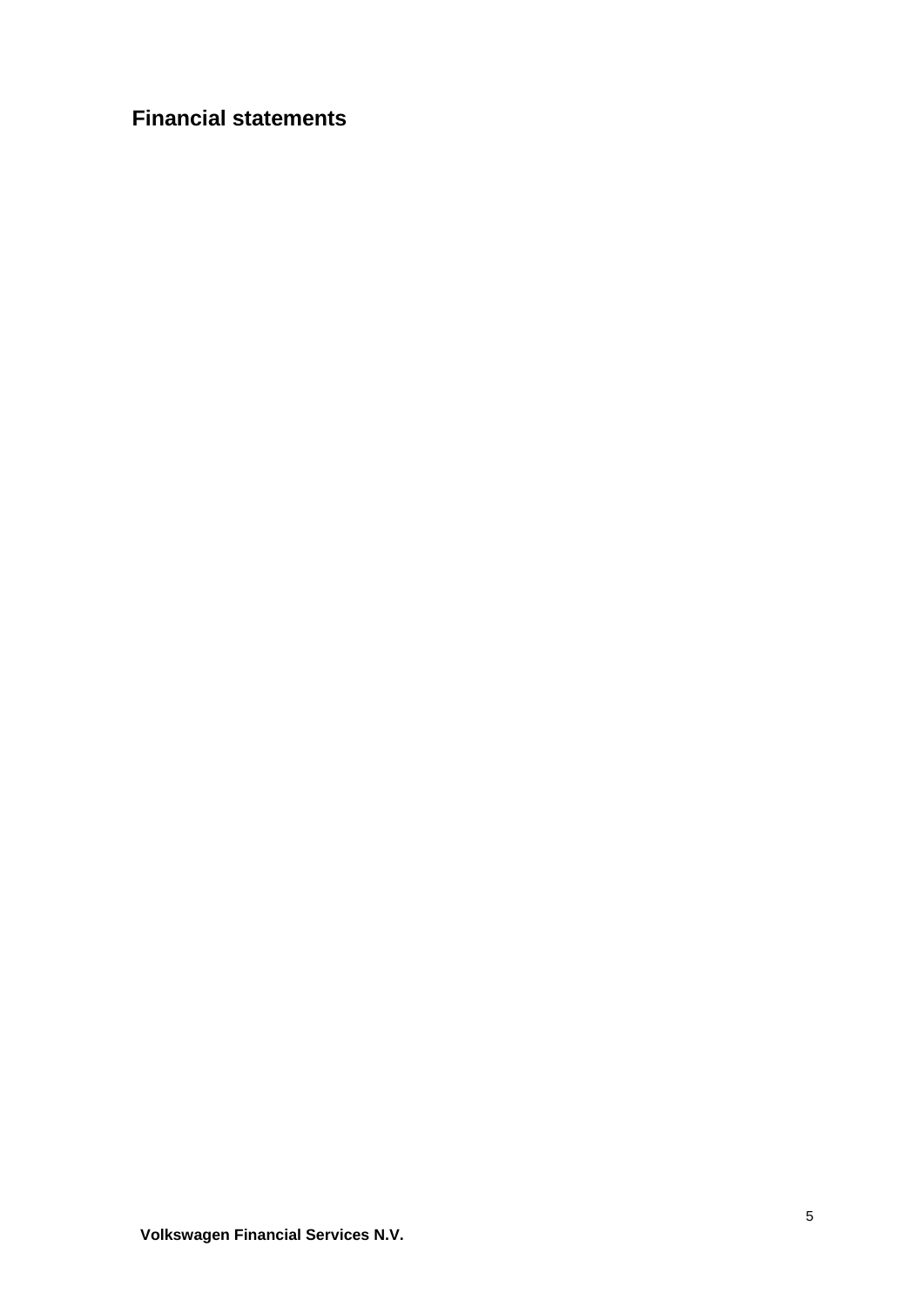# <span id="page-5-0"></span>**Financial statements**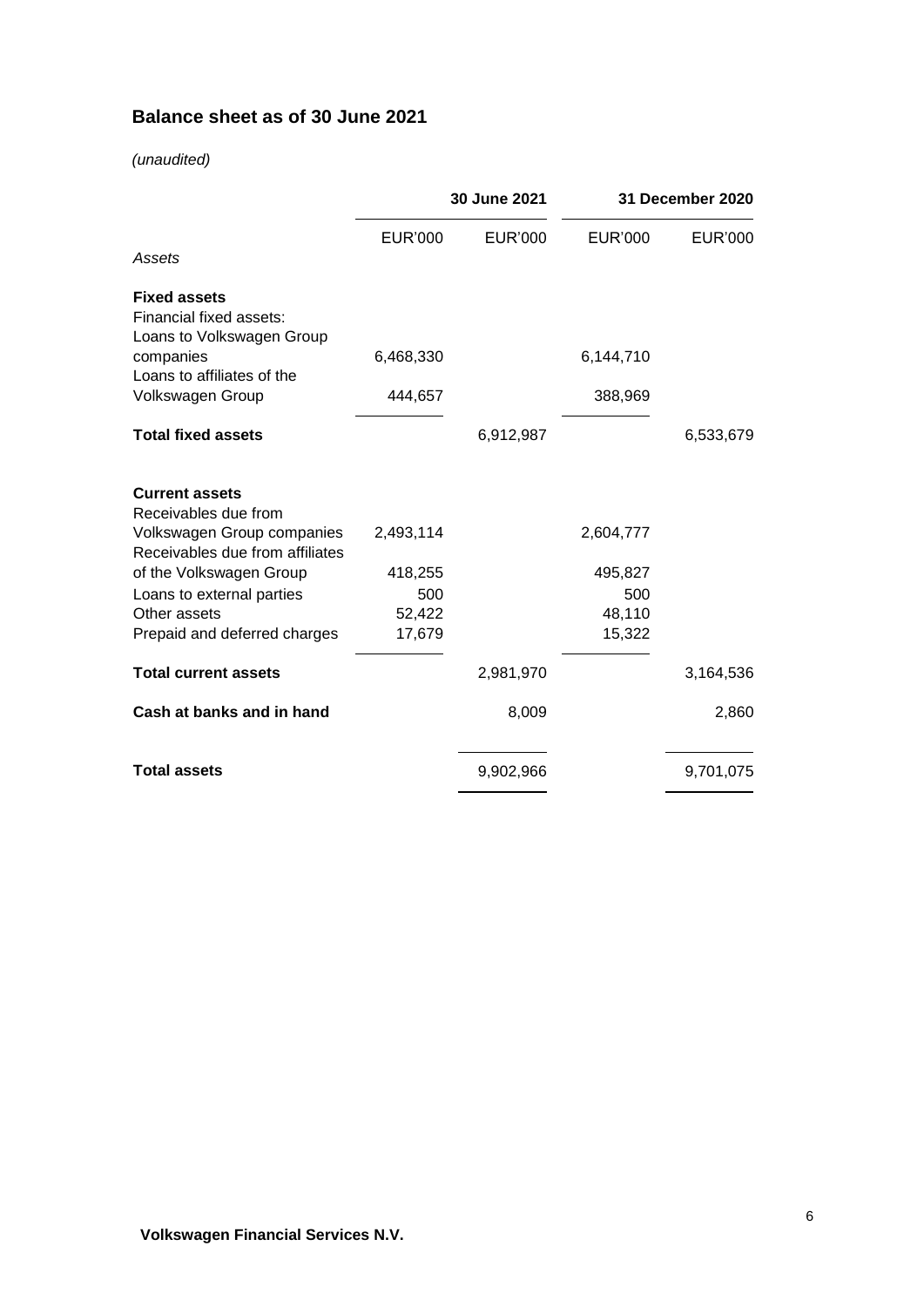## <span id="page-6-0"></span>**Balance sheet as of 30 June 2021**

### *(unaudited)*

|                                                                                       | 30 June 2021   |                | 31 December 2020 |           |
|---------------------------------------------------------------------------------------|----------------|----------------|------------------|-----------|
|                                                                                       | <b>EUR'000</b> | <b>EUR'000</b> | <b>EUR'000</b>   | EUR'000   |
| Assets                                                                                |                |                |                  |           |
| <b>Fixed assets</b><br>Financial fixed assets:<br>Loans to Volkswagen Group           |                |                |                  |           |
| companies<br>Loans to affiliates of the                                               | 6,468,330      |                | 6,144,710        |           |
| Volkswagen Group                                                                      | 444,657        |                | 388,969          |           |
| <b>Total fixed assets</b>                                                             |                | 6,912,987      |                  | 6,533,679 |
| <b>Current assets</b>                                                                 |                |                |                  |           |
| Receivables due from<br>Volkswagen Group companies<br>Receivables due from affiliates | 2,493,114      |                | 2,604,777        |           |
| of the Volkswagen Group                                                               | 418,255        |                | 495,827          |           |
| Loans to external parties                                                             | 500            |                | 500              |           |
| Other assets                                                                          | 52,422         |                | 48,110           |           |
| Prepaid and deferred charges                                                          | 17,679         |                | 15,322           |           |
| <b>Total current assets</b>                                                           |                | 2,981,970      |                  | 3,164,536 |
| Cash at banks and in hand                                                             |                | 8,009          |                  | 2,860     |
| <b>Total assets</b>                                                                   |                | 9,902,966      |                  | 9,701,075 |
|                                                                                       |                |                |                  |           |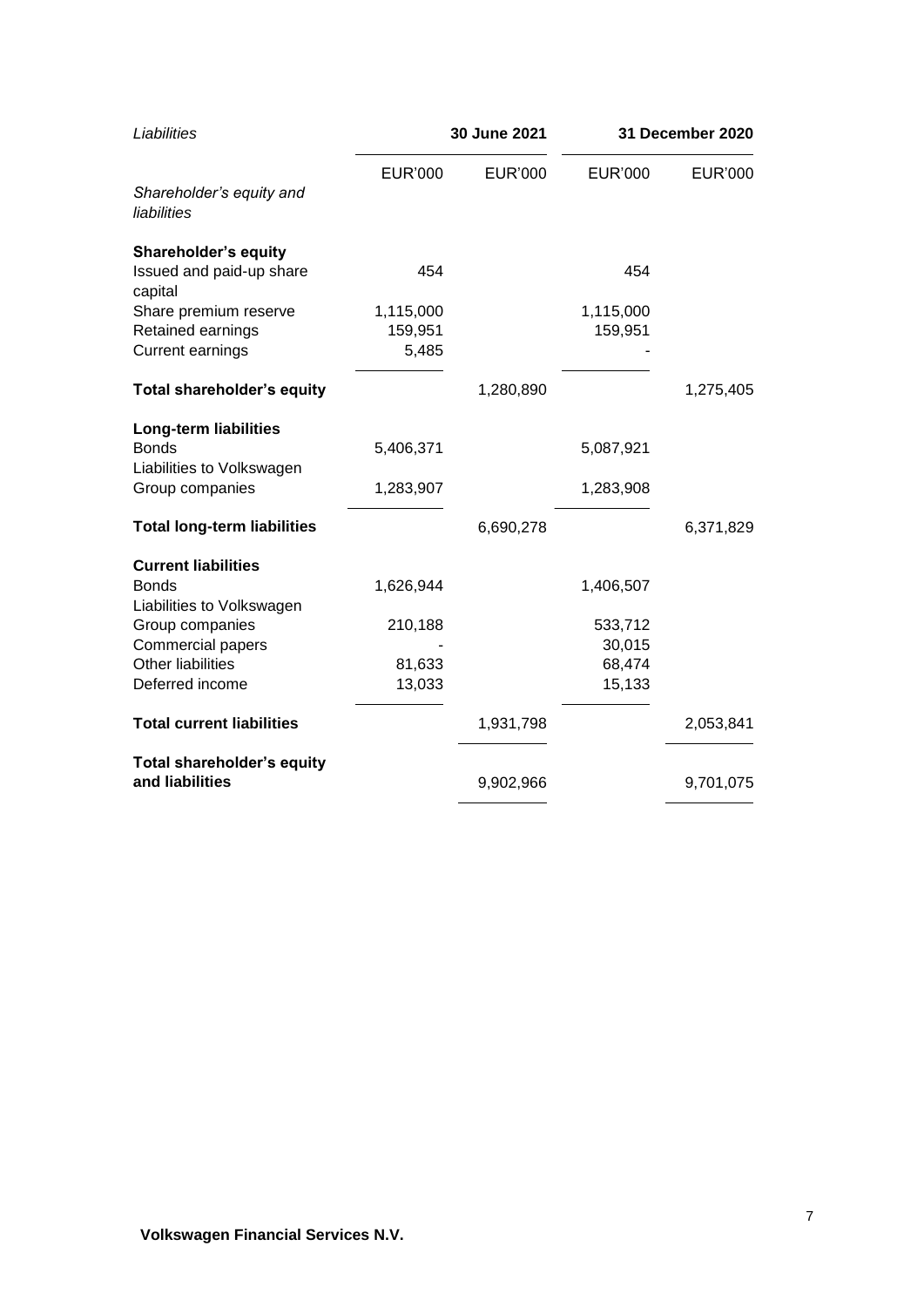| Liabilities                             | 30 June 2021   |                | 31 December 2020 |           |
|-----------------------------------------|----------------|----------------|------------------|-----------|
|                                         | <b>EUR'000</b> | <b>EUR'000</b> | <b>EUR'000</b>   | EUR'000   |
| Shareholder's equity and<br>liabilities |                |                |                  |           |
| <b>Shareholder's equity</b>             |                |                |                  |           |
| Issued and paid-up share<br>capital     | 454            |                | 454              |           |
| Share premium reserve                   | 1,115,000      |                | 1,115,000        |           |
| Retained earnings                       | 159,951        |                | 159,951          |           |
| <b>Current earnings</b>                 | 5,485          |                |                  |           |
| <b>Total shareholder's equity</b>       |                | 1,280,890      |                  | 1,275,405 |
| <b>Long-term liabilities</b>            |                |                |                  |           |
| <b>Bonds</b>                            | 5,406,371      |                | 5,087,921        |           |
| Liabilities to Volkswagen               |                |                |                  |           |
| Group companies                         | 1,283,907      |                | 1,283,908        |           |
| <b>Total long-term liabilities</b>      |                | 6,690,278      |                  | 6,371,829 |
| <b>Current liabilities</b>              |                |                |                  |           |
| <b>Bonds</b>                            | 1,626,944      |                | 1,406,507        |           |
| Liabilities to Volkswagen               |                |                |                  |           |
| Group companies                         | 210,188        |                | 533,712          |           |
| Commercial papers                       |                |                | 30,015           |           |
| <b>Other liabilities</b>                | 81,633         |                | 68,474           |           |
| Deferred income                         | 13,033         |                | 15,133           |           |
| <b>Total current liabilities</b>        |                | 1,931,798      |                  | 2,053,841 |
| <b>Total shareholder's equity</b>       |                |                |                  |           |
| and liabilities                         |                | 9,902,966      |                  | 9,701,075 |